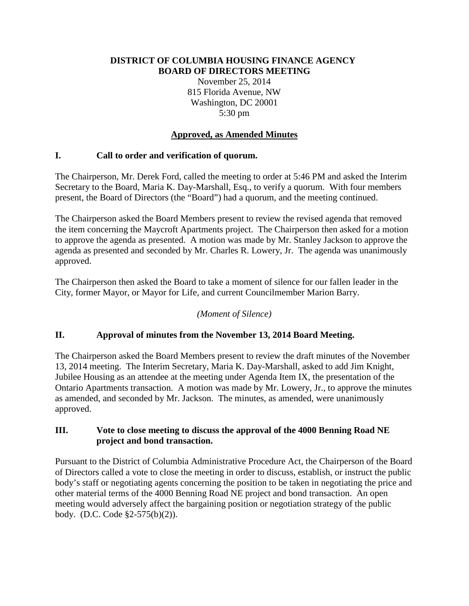#### **DISTRICT OF COLUMBIA HOUSING FINANCE AGENCY BOARD OF DIRECTORS MEETING**

November 25, 2014 815 Florida Avenue, NW Washington, DC 20001 5:30 pm

## **Approved, as Amended Minutes**

## **I. Call to order and verification of quorum.**

The Chairperson, Mr. Derek Ford, called the meeting to order at 5:46 PM and asked the Interim Secretary to the Board, Maria K. Day-Marshall, Esq., to verify a quorum. With four members present, the Board of Directors (the "Board") had a quorum, and the meeting continued.

The Chairperson asked the Board Members present to review the revised agenda that removed the item concerning the Maycroft Apartments project. The Chairperson then asked for a motion to approve the agenda as presented. A motion was made by Mr. Stanley Jackson to approve the agenda as presented and seconded by Mr. Charles R. Lowery, Jr. The agenda was unanimously approved.

The Chairperson then asked the Board to take a moment of silence for our fallen leader in the City, former Mayor, or Mayor for Life, and current Councilmember Marion Barry.

## *(Moment of Silence)*

## **II. Approval of minutes from the November 13, 2014 Board Meeting.**

The Chairperson asked the Board Members present to review the draft minutes of the November 13, 2014 meeting. The Interim Secretary, Maria K. Day-Marshall, asked to add Jim Knight, Jubilee Housing as an attendee at the meeting under Agenda Item IX, the presentation of the Ontario Apartments transaction. A motion was made by Mr. Lowery, Jr., to approve the minutes as amended, and seconded by Mr. Jackson. The minutes, as amended, were unanimously approved.

## **III. Vote to close meeting to discuss the approval of the 4000 Benning Road NE project and bond transaction.**

Pursuant to the District of Columbia Administrative Procedure Act, the Chairperson of the Board of Directors called a vote to close the meeting in order to discuss, establish, or instruct the public body's staff or negotiating agents concerning the position to be taken in negotiating the price and other material terms of the 4000 Benning Road NE project and bond transaction. An open meeting would adversely affect the bargaining position or negotiation strategy of the public body. (D.C. Code §2-575(b)(2)).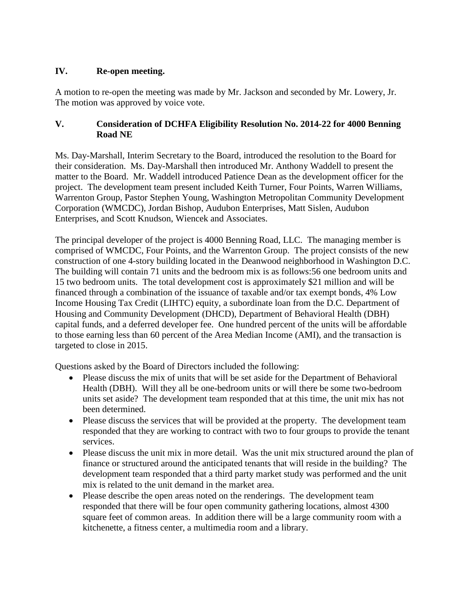## **IV. Re-open meeting.**

A motion to re-open the meeting was made by Mr. Jackson and seconded by Mr. Lowery, Jr. The motion was approved by voice vote.

## **V. Consideration of DCHFA Eligibility Resolution No. 2014-22 for 4000 Benning Road NE**

Ms. Day-Marshall, Interim Secretary to the Board, introduced the resolution to the Board for their consideration. Ms. Day-Marshall then introduced Mr. Anthony Waddell to present the matter to the Board. Mr. Waddell introduced Patience Dean as the development officer for the project. The development team present included Keith Turner, Four Points, Warren Williams, Warrenton Group, Pastor Stephen Young, Washington Metropolitan Community Development Corporation (WMCDC), Jordan Bishop, Audubon Enterprises, Matt Sislen, Audubon Enterprises, and Scott Knudson, Wiencek and Associates.

The principal developer of the project is 4000 Benning Road, LLC. The managing member is comprised of WMCDC, Four Points, and the Warrenton Group. The project consists of the new construction of one 4-story building located in the Deanwood neighborhood in Washington D.C. The building will contain 71 units and the bedroom mix is as follows:56 one bedroom units and 15 two bedroom units. The total development cost is approximately \$21 million and will be financed through a combination of the issuance of taxable and/or tax exempt bonds, 4% Low Income Housing Tax Credit (LIHTC) equity, a subordinate loan from the D.C. Department of Housing and Community Development (DHCD), Department of Behavioral Health (DBH) capital funds, and a deferred developer fee. One hundred percent of the units will be affordable to those earning less than 60 percent of the Area Median Income (AMI), and the transaction is targeted to close in 2015.

Questions asked by the Board of Directors included the following:

- Please discuss the mix of units that will be set aside for the Department of Behavioral Health (DBH). Will they all be one-bedroom units or will there be some two-bedroom units set aside? The development team responded that at this time, the unit mix has not been determined.
- Please discuss the services that will be provided at the property. The development team responded that they are working to contract with two to four groups to provide the tenant services.
- Please discuss the unit mix in more detail. Was the unit mix structured around the plan of finance or structured around the anticipated tenants that will reside in the building? The development team responded that a third party market study was performed and the unit mix is related to the unit demand in the market area.
- Please describe the open areas noted on the renderings. The development team responded that there will be four open community gathering locations, almost 4300 square feet of common areas. In addition there will be a large community room with a kitchenette, a fitness center, a multimedia room and a library.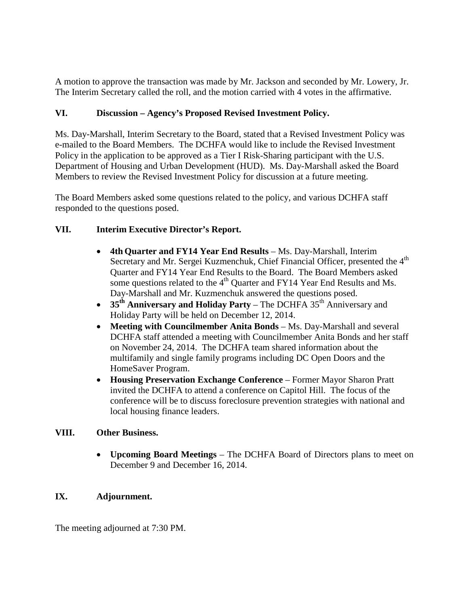A motion to approve the transaction was made by Mr. Jackson and seconded by Mr. Lowery, Jr. The Interim Secretary called the roll, and the motion carried with 4 votes in the affirmative.

# **VI. Discussion – Agency's Proposed Revised Investment Policy.**

Ms. Day-Marshall, Interim Secretary to the Board, stated that a Revised Investment Policy was e-mailed to the Board Members. The DCHFA would like to include the Revised Investment Policy in the application to be approved as a Tier I Risk-Sharing participant with the U.S. Department of Housing and Urban Development (HUD). Ms. Day-Marshall asked the Board Members to review the Revised Investment Policy for discussion at a future meeting.

The Board Members asked some questions related to the policy, and various DCHFA staff responded to the questions posed.

# **VII. Interim Executive Director's Report.**

- **4th Quarter and FY14 Year End Results** Ms. Day-Marshall, Interim Secretary and Mr. Sergei Kuzmenchuk, Chief Financial Officer, presented the 4<sup>th</sup> Quarter and FY14 Year End Results to the Board. The Board Members asked some questions related to the 4<sup>th</sup> Quarter and FY14 Year End Results and Ms. Day-Marshall and Mr. Kuzmenchuk answered the questions posed.
- **35<sup>th</sup> Anniversary and Holiday Party** The DCHFA 35<sup>th</sup> Anniversary and Holiday Party will be held on December 12, 2014.
- **Meeting with Councilmember Anita Bonds** Ms. Day-Marshall and several DCHFA staff attended a meeting with Councilmember Anita Bonds and her staff on November 24, 2014. The DCHFA team shared information about the multifamily and single family programs including DC Open Doors and the HomeSaver Program.
- **Housing Preservation Exchange Conference** Former Mayor Sharon Pratt invited the DCHFA to attend a conference on Capitol Hill. The focus of the conference will be to discuss foreclosure prevention strategies with national and local housing finance leaders.

# **VIII. Other Business.**

• **Upcoming Board Meetings** – The DCHFA Board of Directors plans to meet on December 9 and December 16, 2014.

# **IX. Adjournment.**

The meeting adjourned at 7:30 PM.